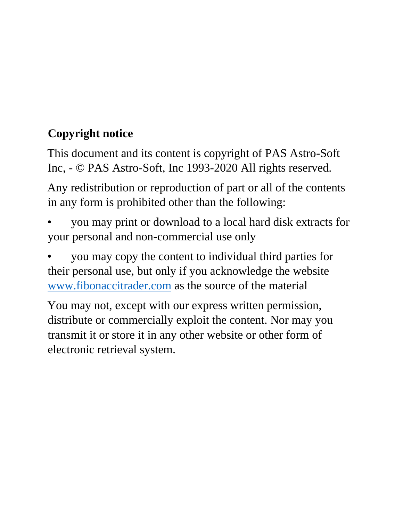## **Copyright notice**

This document and its content is copyright of PAS Astro-Soft Inc, - © PAS Astro-Soft, Inc 1993-2020 All rights reserved.

Any redistribution or reproduction of part or all of the contents in any form is prohibited other than the following:

• you may print or download to a local hard disk extracts for your personal and non-commercial use only

• you may copy the content to individual third parties for their personal use, but only if you acknowledge the website [www.fibonaccitrader.com](http://www.fibonaccitrader.com/) as the source of the material

You may not, except with our express written permission, distribute or commercially exploit the content. Nor may you transmit it or store it in any other website or other form of electronic retrieval system.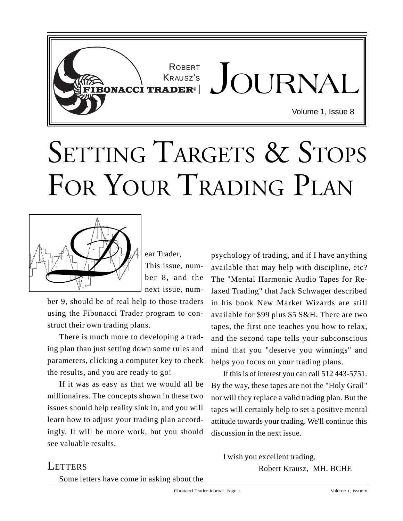

## SETTING TARGETS & STOPS FOR YOUR TRADING PLAN



This issue, number 8, and the next issue, num-

ber 9, should be of real help to those traders using the Fibonacci Trader program to construct their own trading plans.

There is much more to developing a trading plan than just setting down some rules and parameters, clicking a computer key to check the results, and you are ready to go!

If it was as easy as that we would all be millionaires. The concepts shown in these two issues should help reality sink in, and you will learn how to adjust your trading plan accordingly. It will be more work, but you should see valuable results.

psychology of trading, and if I have anything available that may help with discipline, etc? The "Mental Harmonic Audio Tapes for Relaxed Trading" that Jack Schwager described in his book New Market Wizards are still available for \$99 plus \$5 S&H. There are two tapes, the first one teaches you how to relax, and the second tape tells your subconscious mind that you "deserve you winnings" and helps you focus on your trading plans.

If this is of interest you can call 512 443-5751. By the way, these tapes are not the "Holy Grail" nor will they replace a valid trading plan. But the tapes will certainly help to set a positive mental attitude towards your trading. We'll continue this discussion in the next issue.

## **LETTERS**

Some letters have come in asking about the

I wish you excellent trading, Robert Krausz, MH, BCHE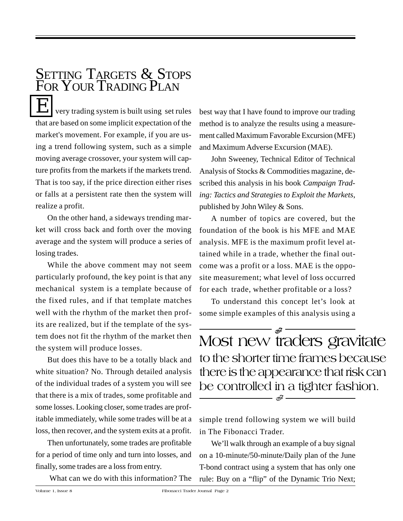very trading system is built using set rules that are based on some implicit expectation of the market's movement. For example, if you are using a trend following system, such as a simple moving average crossover, your system will capture profits from the markets if the markets trend. That is too say, if the price direction either rises or falls at a persistent rate then the system will realize a profit. SETTING TARGETS & STOPS FOR YOUR TRADING PLAN

On the other hand, a sideways trending market will cross back and forth over the moving average and the system will produce a series of losing trades.

While the above comment may not seem particularly profound, the key point is that any mechanical system is a template because of the fixed rules, and if that template matches well with the rhythm of the market then profits are realized, but if the template of the system does not fit the rhythm of the market then the system will produce losses.

But does this have to be a totally black and white situation? No. Through detailed analysis of the individual trades of a system you will see that there is a mix of trades, some profitable and some losses. Looking closer, some trades are profitable immediately, while some trades will be at a loss, then recover, and the system exits at a profit.

Then unfortunately, some trades are profitable for a period of time only and turn into losses, and finally, some trades are a loss from entry.

What can we do with this information? The

best way that I have found to improve our trading method is to analyze the results using a measurement called Maximum Favorable Excursion (MFE) and Maximum Adverse Excursion (MAE).

John Sweeney, Technical Editor of Technical Analysis of Stocks & Commodities magazine, described this analysis in his book *Campaign Trading: Tactics and Strategies to Exploit the Markets*, published by John Wiley & Sons.

A number of topics are covered, but the foundation of the book is his MFE and MAE analysis. MFE is the maximum profit level attained while in a trade, whether the final outcome was a profit or a loss. MAE is the opposite measurement; what level of loss occurred for each trade, whether profitable or a loss?

To understand this concept let's look at some simple examples of this analysis using a

Most new traders gravitate to the shorter time frames because there is the appearance that risk can be controlled in a tighter fashion. *F F*

simple trend following system we will build in The Fibonacci Trader.

We'll walk through an example of a buy signal on a 10-minute/50-minute/Daily plan of the June T-bond contract using a system that has only one rule: Buy on a "flip" of the Dynamic Trio Next;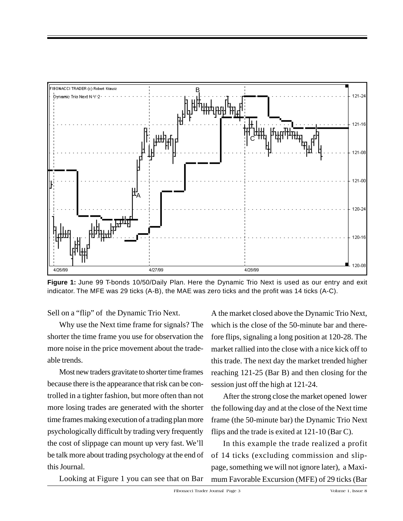

**Figure 1:** June 99 T-bonds 10/50/Daily Plan. Here the Dynamic Trio Next is used as our entry and exit indicator. The MFE was 29 ticks (A-B), the MAE was zero ticks and the profit was 14 ticks (A-C).

Sell on a "flip" of the Dynamic Trio Next.

Why use the Next time frame for signals? The shorter the time frame you use for observation the more noise in the price movement about the tradeable trends.

Most new traders gravitate to shorter time frames because there is the appearance that risk can be controlled in a tighter fashion, but more often than not more losing trades are generated with the shorter time frames making execution of a trading plan more psychologically difficult by trading very frequently the cost of slippage can mount up very fast. We'll be talk more about trading psychology at the end of this Journal.

Looking at Figure 1 you can see that on Bar

A the market closed above the Dynamic Trio Next, which is the close of the 50-minute bar and therefore flips, signaling a long position at 120-28. The market rallied into the close with a nice kick off to this trade. The next day the market trended higher reaching 121-25 (Bar B) and then closing for the session just off the high at 121-24.

After the strong close the market opened lower the following day and at the close of the Next time frame (the 50-minute bar) the Dynamic Trio Next flips and the trade is exited at 121-10 (Bar C).

In this example the trade realized a profit of 14 ticks (excluding commission and slippage, something we will not ignore later), a Maximum Favorable Excursion (MFE) of 29 ticks (Bar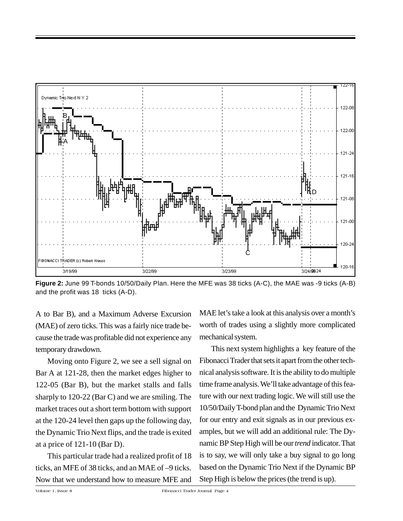

**Figure 2:** June 99 T-bonds 10/50/Daily Plan. Here the MFE was 38 ticks (A-C), the MAE was -9 ticks (A-B) and the profit was 18 ticks (A-D).

A to Bar B), and a Maximum Adverse Excursion (MAE) of zero ticks. This was a fairly nice trade because the trade was profitable did not experience any temporary drawdown.

Moving onto Figure 2, we see a sell signal on Bar A at 121-28, then the market edges higher to 122-05 (Bar B), but the market stalls and falls sharply to 120-22 (Bar C) and we are smiling. The market traces out a short term bottom with support at the 120-24 level then gaps up the following day, the Dynamic Trio Next flips, and the trade is exited at a price of 121-10 (Bar D).

This particular trade had a realized profit of 18 ticks, an MFE of 38 ticks, and an MAE of –9 ticks. Now that we understand how to measure MFE and MAE let's take a look at this analysis over a month's worth of trades using a slightly more complicated mechanical system.

This next system highlights a key feature of the Fibonacci Trader that sets it apart from the other technical analysis software. It is the ability to do multiple time frame analysis. We'll take advantage of this feature with our next trading logic. We will still use the 10/50/Daily T-bond plan and the Dynamic Trio Next for our entry and exit signals as in our previous examples, but we will add an additional rule: The Dynamic BP Step High will be our *trend* indicator. That is to say, we will only take a buy signal to go long based on the Dynamic Trio Next if the Dynamic BP Step High is below the prices (the trend is up).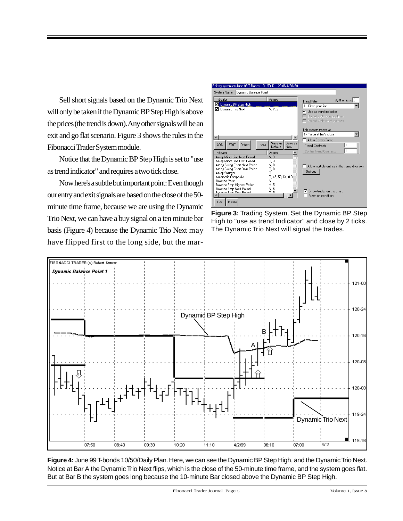Sell short signals based on the Dynamic Trio Next will only be taken if the Dynamic BP Step High is above the prices (the trend is down). Any other signals will be an exit and go flat scenario. Figure 3 shows the rules in the Fibonacci Trader System module.

Notice that the Dynamic BP Step High is set to "use as trend indicator" and requires a two tick close.

Now here's a subtle but important point: Even though our entry and exit signals are based on the close of the 50 minute time frame, because we are using the Dynamic Trio Next, we can have a buy signal on a ten minute bar basis (Figure 4) because the Dynamic Trio Next may have flipped first to the long side, but the mar-



**Figure 3:** Trading System. Set the Dynamic BP Step High to "use as trend Indicator" and close by 2 ticks. The Dynamic Trio Next will signal the trades.



**Figure 4:** June 99 T-bonds 10/50/Daily Plan. Here, we can see the Dynamic BP Step High, and the Dynamic Trio Next. Notice at Bar A the Dynamic Trio Next flips, which is the close of the 50-minute time frame, and the system goes flat. But at Bar B the system goes long because the 10-minute Bar closed above the Dynamic BP Step High.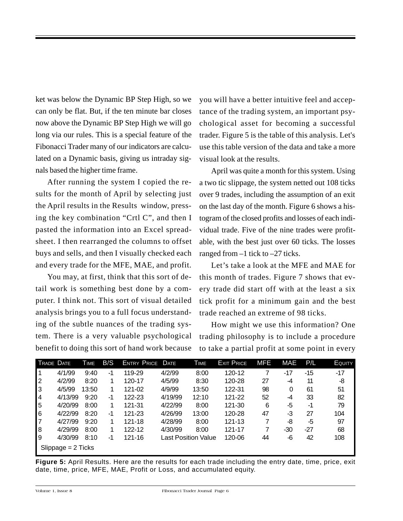ket was below the Dynamic BP Step High, so we can only be flat. But, if the ten minute bar closes now above the Dynamic BP Step High we will go long via our rules. This is a special feature of the Fibonacci Trader many of our indicators are calculated on a Dynamic basis, giving us intraday signals based the higher time frame.

After running the system I copied the results for the month of April by selecting just the April results in the Results window, pressing the key combination "Crtl C", and then I pasted the information into an Excel spreadsheet. I then rearranged the columns to offset buys and sells, and then I visually checked each and every trade for the MFE, MAE, and profit.

You may, at first, think that this sort of detail work is something best done by a computer. I think not. This sort of visual detailed analysis brings you to a full focus understanding of the subtle nuances of the trading system. There is a very valuable psychological benefit to doing this sort of hand work because you will have a better intuitive feel and acceptance of the trading system, an important psychological asset for becoming a successful trader. Figure 5 is the table of this analysis. Let's use this table version of the data and take a more visual look at the results.

April was quite a month for this system. Using a two tic slippage, the system netted out 108 ticks over 9 trades, including the assumption of an exit on the last day of the month. Figure 6 shows a histogram of the closed profits and losses of each individual trade. Five of the nine trades were profitable, with the best just over 60 ticks. The losses ranged from  $-1$  tick to  $-27$  ticks.

Let's take a look at the MFE and MAE for this month of trades. Figure 7 shows that every trade did start off with at the least a six tick profit for a minimum gain and the best trade reached an extreme of 98 ticks.

How might we use this information? One trading philosophy is to include a procedure to take a partial profit at some point in every

| TRADE DATE           |         | <b>TIME</b> | B/S | <b>ENTRY PRICE DATE</b> |         | <b>TIME</b>         | <b>EXIT PRICE</b> | MFE | MAE  | P/L | <b>EQUITY</b> |
|----------------------|---------|-------------|-----|-------------------------|---------|---------------------|-------------------|-----|------|-----|---------------|
|                      | 4/1/99  | 9:40        | -1  | 119-29                  | 4/2/99  | 8:00                | 120-12            |     | -17  | -15 | $-17$         |
| $\overline{2}$       | 4/2/99  | 8:20        |     | 120-17                  | 4/5/99  | 8:30                | 120-28            | 27  | $-4$ | 11  | -8            |
| 3                    | 4/5/99  | 13:50       |     | 121-02                  | 4/9/99  | 13:50               | 122-31            | 98  | 0    | 61  | 51            |
| 4                    | 4/13/99 | 9:20        | -1  | 122-23                  | 4/19/99 | 12:10               | 121-22            | 52  | -4   | 33  | 82            |
| 5                    | 4/20/99 | 8:00        | 1   | 121-31                  | 4/22/99 | 8:00                | 121-30            | 6   | -5   | -1  | 79            |
| 6                    | 4/22/99 | 8:20        | -1  | 121-23                  | 4/26/99 | 13:00               | 120-28            | 47  | $-3$ | 27  | 104           |
| $\overline{7}$       | 4/27/99 | 9:20        | 1   | 121-18                  | 4/28/99 | 8:00                | 121-13            | 7   | -8   | -5  | 97            |
| 8                    | 4/29/99 | 8:00        |     | 122-12                  | 4/30/99 | 8:00                | 121-17            | 7   | -30  | -27 | 68            |
| 9                    | 4/30/99 | 8:10        | -1  | 121-16                  |         | Last Position Value | 120-06            | 44  | -6   | 42  | 108           |
| $Slippage = 2 Ticks$ |         |             |     |                         |         |                     |                   |     |      |     |               |

**Figure 5:** April Results. Here are the results for each trade including the entry date, time, price, exit date, time, price, MFE, MAE, Profit or Loss, and accumulated equity.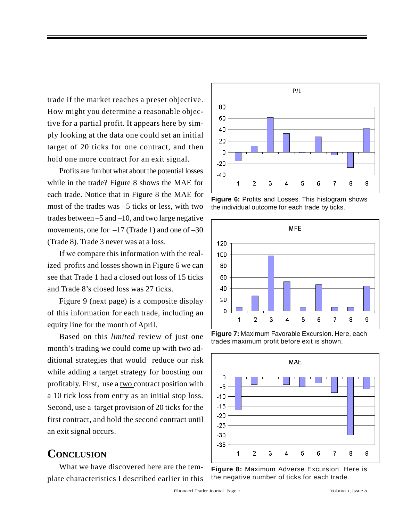trade if the market reaches a preset objective. How might you determine a reasonable objective for a partial profit. It appears here by simply looking at the data one could set an initial target of 20 ticks for one contract, and then hold one more contract for an exit signal.

Profits are fun but what about the potential losses while in the trade? Figure 8 shows the MAE for each trade. Notice that in Figure 8 the MAE for most of the trades was –5 ticks or less, with two trades between –5 and –10, and two large negative movements, one for  $-17$  (Trade 1) and one of  $-30$ (Trade 8). Trade 3 never was at a loss.

If we compare this information with the realized profits and losses shown in Figure 6 we can see that Trade 1 had a closed out loss of 15 ticks and Trade 8's closed loss was 27 ticks.

Figure 9 (next page) is a composite display of this information for each trade, including an equity line for the month of April.

Based on this *limited* review of just one month's trading we could come up with two additional strategies that would reduce our risk while adding a target strategy for boosting our profitably. First, use a two contract position with a 10 tick loss from entry as an initial stop loss. Second, use a target provision of 20 ticks for the first contract, and hold the second contract until an exit signal occurs.

## **CONCLUSION**

What we have discovered here are the template characteristics I described earlier in this



**Figure 6:** Profits and Losses. This histogram shows the individual outcome for each trade by ticks.



**Figure 7:** Maximum Favorable Excursion. Here, each trades maximum profit before exit is shown.



**Figure 8:** Maximum Adverse Excursion. Here is the negative number of ticks for each trade.